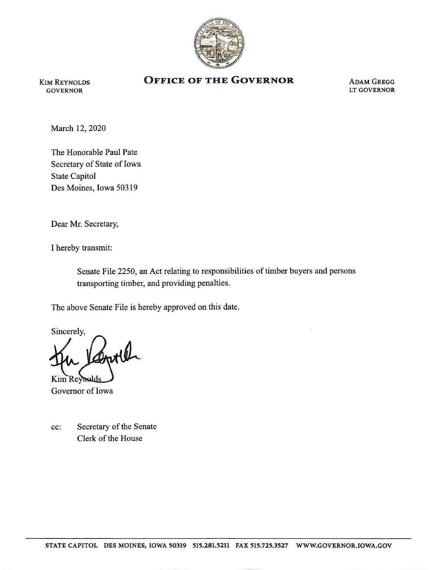

GOVERNOR LT GOVERNOR

## KIM REYNOLDS **OFFICE OF THE GOVERNOR** ADAM GREGG GOVERNOR

March 12, 2020

The Honorable Paul Pate Secretary of State of Iowa State Capitol Des Moines, Iowa 50319

Dear Mr. Secretary,

I hereby transmit:

Senate File 2250, an Act relating to responsibilities of timber buyers and persons transporting timber, and providing penalties.

The above Senate File is hereby approved on this date.

Sincerely,

Kim Reyhels Governor of Iowa

cc: Secretary of the Senate Clerk of the House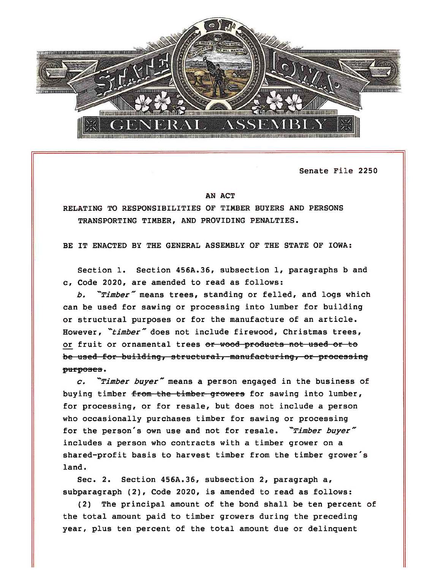

Senate File 2250

## AN ACT

RELATING TO RESPONSIBILITIES OF TIMBER BUYERS AND PERSONS TRANSPORTING TIMBER, AND PROVIDING PENALTIES.

BE IT ENACTED BY THE GENERAL ASSEMBLY OF THE STATE OF IOWA:

Section 1. Section 456A.36, subsection 1, paragraphs b and c. Code 2020, are amended to read as follows:

b. "Timber" means trees, standing or felled, and logs which can be used for sawing or processing into lumber for building or structural purposes or for the manufacture of an article. However, "timber" does not include firewood, Christmas trees, or fruit or ornamental trees or wood products not used or to be used for building, structural, manufacturing, or processing purposes.

 $c.$  "Timber buyer" means a person engaged in the business of buying timber from the timber growers for sawing into lumber, for processing, or for resale, but does not include a person who occasionally purchases timber for sawing or processing for the person's own use and not for resale. "Timber buyer" includes a person who contracts with a timber grower on a shared-profit basis to harvest timber from the timber grower's land.

Sec. 2. Section 456A.36, subsection 2, paragraph a, subparagraph (2), Code 2020, is amended to read as follows:

(2) The principal amount of the bond shall be ten percent of the total amount paid to timber growers during the preceding year, plus ten percent of the total amount due or delinquent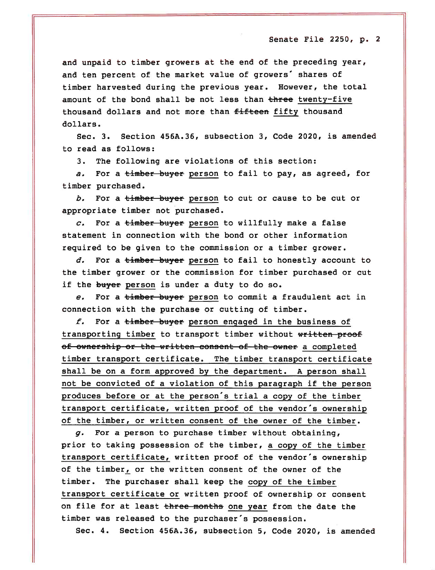and unpaid to timber growers at the end of the preceding year, and ten percent of the market value of growers' shares of timber harvested during the previous year. However, the total amount of the bond shall be not less than three twenty-five thousand dollars and not more than fifteen fifty thousand dollars.

Sec. 3. Section 456A.36, subsection 3, Code 2020, is amended to read as follows:

3. The following are violations of this section:

a. For a timber buyer person to fail to pay, as agreed, for timber purchased.

b. For a timber buyer person to cut or cause to be cut or appropriate timber not purchased.

c. For a timber buyer person to willfully make a false statement in connection with the bond or other information required to be given to the commission or a timber grower.

d. For a timber buyer person to fail to honestly account to the timber grower or the commission for timber purchased or cut if the buyer person is under a duty to do so.

e. For a timber buyer person to commit a fraudulent act in connection with the purchase or cutting of timber.

f. For a timber buyer person engaged in the business of transporting timber to transport timber without written proof of ownership or the written consent of the owner a completed timber transport certificate. The timber transport certificate shall be on a form approved by the department. A person shall not be convicted of a violation of this paragraph if the person produces before or at the person's trial a copy of the timber transport certificate, written proof of the vendor's ownership of the timber, or written consent of the owner of the timber.

 $g.$  For a person to purchase timber without obtaining, prior to taking possession of the timber, a copy of the timber transport certificate, written proof of the vendor's ownership of the timber, or the written consent of the owner of the timber. The purchaser shall keep the copy of the timber transport certificate or written proof of ownership or consent on file for at least three months one year from the date the timber was released to the purchaser's possession.

Sec. 4. Section 456A.36, subsection 5, Code 2020, is amended